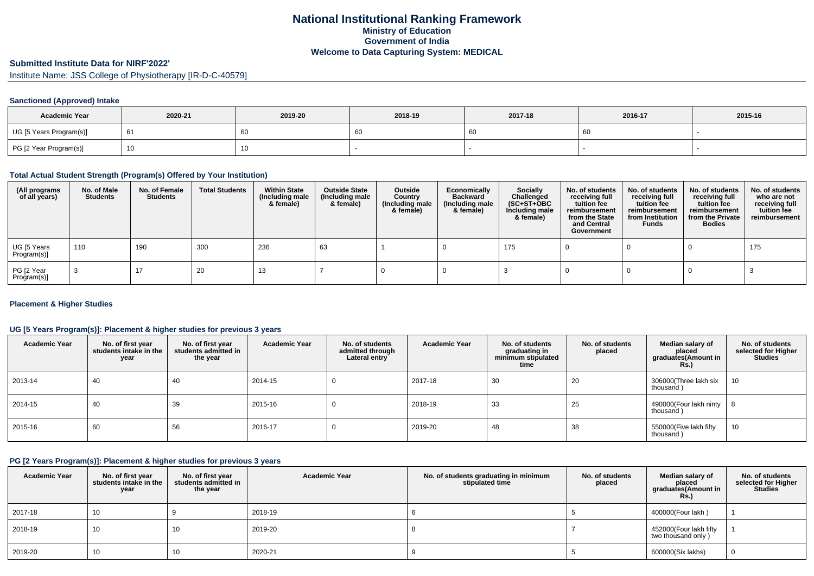# **Submitted Institute Data for NIRF'2022'**

Institute Name: JSS College of Physiotherapy [IR-D-C-40579]

#### **Sanctioned (Approved) Intake**

| <b>Academic Year</b>    | 2020-21 | 2019-20 | 2018-19 | 2017-18 | 2016-17 | 2015-16 |
|-------------------------|---------|---------|---------|---------|---------|---------|
| UG [5 Years Program(s)] | - 61    | 60      | 60      |         | 60      |         |
| PG [2 Year Program(s)]  |         | Ίυ      |         |         |         |         |

### **Total Actual Student Strength (Program(s) Offered by Your Institution)**

| (All programs<br>of all years) | No. of Male<br><b>Students</b> | No. of Female<br>Students | <b>Total Students</b> | <b>Within State</b><br>(Including male<br>& female) | <b>Outside State</b><br>(Including male<br>& female) | Outside<br>Country<br>(Including male<br>& female) | Economically<br><b>Backward</b><br>(Including male<br>& female) | <b>Socially</b><br>Challenged<br>$(SC+ST+OBC)$<br>Including male<br>& female) | No. of students<br>receiving full<br>tuition fee<br>reimbursement<br>from the State<br>and Central<br>Government | No. of students<br>receiving full<br>tuition fee<br>reimbursement<br>from Institution<br><b>Funds</b> | No. of students<br>receiving full<br>tuition fee<br>reimbursement<br>from the Private<br><b>Bodies</b> | No. of students<br>who are not<br>receiving full<br>tuition fee<br>reimbursement |
|--------------------------------|--------------------------------|---------------------------|-----------------------|-----------------------------------------------------|------------------------------------------------------|----------------------------------------------------|-----------------------------------------------------------------|-------------------------------------------------------------------------------|------------------------------------------------------------------------------------------------------------------|-------------------------------------------------------------------------------------------------------|--------------------------------------------------------------------------------------------------------|----------------------------------------------------------------------------------|
| UG [5 Years<br>Program(s)]     | 110                            | 190                       | 300                   | 236                                                 | 63                                                   |                                                    |                                                                 | 175                                                                           |                                                                                                                  |                                                                                                       |                                                                                                        | 175                                                                              |
| PG [2 Year<br>Program(s)]      |                                | 17                        | 20                    | 13                                                  |                                                      |                                                    |                                                                 |                                                                               |                                                                                                                  |                                                                                                       |                                                                                                        |                                                                                  |

#### **Placement & Higher Studies**

#### **UG [5 Years Program(s)]: Placement & higher studies for previous 3 years**

| <b>Academic Year</b> | No. of first year<br>students intake in the<br>year | No. of first year<br>students admitted in<br>the year | <b>Academic Year</b> | No. of students<br>admitted through<br>Lateral entry | <b>Academic Year</b> | No. of students<br>graduating in<br>minimum stipulated<br>time | No. of students<br>placed | Median salary of<br>placed<br>graduates(Amount in<br>Rs.) | No. of students<br>selected for Higher<br><b>Studies</b> |
|----------------------|-----------------------------------------------------|-------------------------------------------------------|----------------------|------------------------------------------------------|----------------------|----------------------------------------------------------------|---------------------------|-----------------------------------------------------------|----------------------------------------------------------|
| 2013-14              | 40                                                  | 40                                                    | 2014-15              |                                                      | 2017-18              | 30                                                             | 20                        | 306000(Three lakh six<br>thousand)                        | 10                                                       |
| 2014-15              | -40                                                 | 39                                                    | 2015-16              |                                                      | 2018-19              | 33                                                             | 25                        | 490000(Four lakh ninty<br>thousand)                       |                                                          |
| 2015-16              | 60                                                  | 56                                                    | 2016-17              |                                                      | 2019-20              | 48                                                             | 38                        | 550000(Five lakh fifty<br>thousand)                       | 10                                                       |

### **PG [2 Years Program(s)]: Placement & higher studies for previous 3 years**

| <b>Academic Year</b> | No. of first year<br>students intake in the<br>year | No. of first year<br>students admitted in<br>the year | <b>Academic Year</b> | No. of students graduating in minimum<br>stipulated time | No. of students<br>placed | Median salary of<br>placed<br>graduates(Amount in<br><b>Rs.)</b> | No. of students<br>selected for Higher<br><b>Studies</b> |
|----------------------|-----------------------------------------------------|-------------------------------------------------------|----------------------|----------------------------------------------------------|---------------------------|------------------------------------------------------------------|----------------------------------------------------------|
| 2017-18              | 10                                                  |                                                       | 2018-19              |                                                          |                           | 400000(Four lakh)                                                |                                                          |
| 2018-19              | 10                                                  | 10                                                    | 2019-20              |                                                          |                           | 452000(Four lakh fifty<br>two thousand only)                     |                                                          |
| 2019-20              | 10                                                  | 10                                                    | 2020-21              |                                                          |                           | 600000(Six lakhs)                                                | 0                                                        |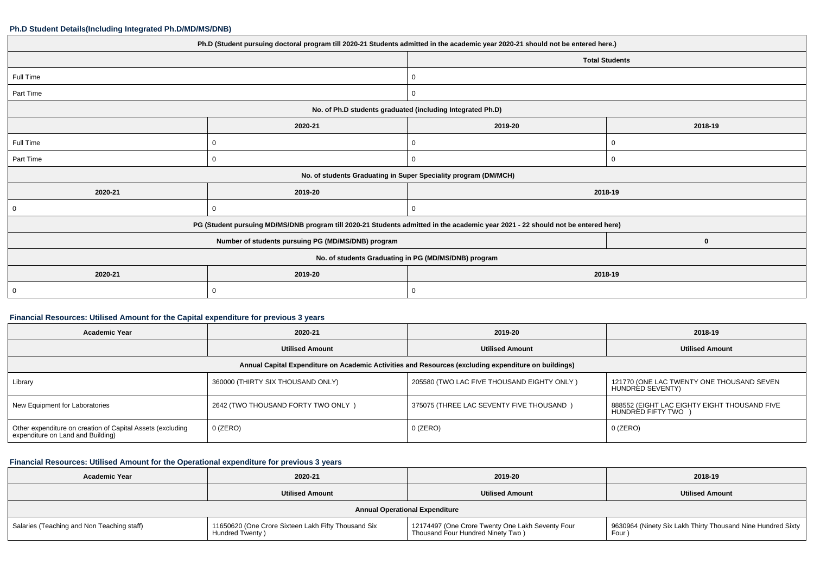#### **Ph.D Student Details(Including Integrated Ph.D/MD/MS/DNB)**

| Ph.D (Student pursuing doctoral program till 2020-21 Students admitted in the academic year 2020-21 should not be entered here.) |         |                                                                 |         |  |  |
|----------------------------------------------------------------------------------------------------------------------------------|---------|-----------------------------------------------------------------|---------|--|--|
|                                                                                                                                  |         | <b>Total Students</b>                                           |         |  |  |
| Full Time                                                                                                                        |         | 0                                                               |         |  |  |
| Part Time                                                                                                                        |         | $\overline{0}$                                                  |         |  |  |
|                                                                                                                                  |         | No. of Ph.D students graduated (including Integrated Ph.D)      |         |  |  |
|                                                                                                                                  | 2020-21 | 2019-20                                                         | 2018-19 |  |  |
| Full Time                                                                                                                        | 0       | 0                                                               | 0       |  |  |
| Part Time                                                                                                                        |         | 0                                                               | 0       |  |  |
|                                                                                                                                  |         | No. of students Graduating in Super Speciality program (DM/MCH) |         |  |  |
| 2020-21                                                                                                                          | 2019-20 |                                                                 | 2018-19 |  |  |
| 0                                                                                                                                |         |                                                                 |         |  |  |
| PG (Student pursuing MD/MS/DNB program till 2020-21 Students admitted in the academic year 2021 - 22 should not be entered here) |         |                                                                 |         |  |  |
|                                                                                                                                  |         | $\mathbf 0$                                                     |         |  |  |
| No. of students Graduating in PG (MD/MS/DNB) program                                                                             |         |                                                                 |         |  |  |
| 2020-21                                                                                                                          | 2019-20 |                                                                 | 2018-19 |  |  |
| $\overline{0}$                                                                                                                   |         | 0                                                               |         |  |  |
|                                                                                                                                  |         |                                                                 |         |  |  |

#### **Financial Resources: Utilised Amount for the Capital expenditure for previous 3 years**

| <b>Academic Year</b>                                                                                 | 2020-21                            | 2019-20                                    | 2018-19                                                           |  |  |  |
|------------------------------------------------------------------------------------------------------|------------------------------------|--------------------------------------------|-------------------------------------------------------------------|--|--|--|
|                                                                                                      | <b>Utilised Amount</b>             | <b>Utilised Amount</b>                     | <b>Utilised Amount</b>                                            |  |  |  |
| Annual Capital Expenditure on Academic Activities and Resources (excluding expenditure on buildings) |                                    |                                            |                                                                   |  |  |  |
| Library                                                                                              | 360000 (THIRTY SIX THOUSAND ONLY)  | 205580 (TWO LAC FIVE THOUSAND EIGHTY ONLY) | 121770 (ONE LAC TWENTY ONE THOUSAND SEVEN<br>HUNDRED SEVENTY)     |  |  |  |
| New Equipment for Laboratories                                                                       | 2642 (TWO THOUSAND FORTY TWO ONLY) | 375075 (THREE LAC SEVENTY FIVE THOUSAND)   | 888552 (EIGHT LAC EIGHTY EIGHT THOUSAND FIVE<br>HUNDRED FIFTY TWO |  |  |  |
| Other expenditure on creation of Capital Assets (excluding<br>expenditure on Land and Building)      | 0 (ZERO)                           | $0$ (ZERO)                                 | $0$ (ZERO)                                                        |  |  |  |

## **Financial Resources: Utilised Amount for the Operational expenditure for previous 3 years**

| <b>Academic Year</b>                       | 2020-21                                                                | 2019-20                                                                               | 2018-19                                                                 |  |  |
|--------------------------------------------|------------------------------------------------------------------------|---------------------------------------------------------------------------------------|-------------------------------------------------------------------------|--|--|
|                                            | <b>Utilised Amount</b>                                                 | <b>Utilised Amount</b>                                                                | <b>Utilised Amount</b>                                                  |  |  |
| <b>Annual Operational Expenditure</b>      |                                                                        |                                                                                       |                                                                         |  |  |
| Salaries (Teaching and Non Teaching staff) | 11650620 (One Crore Sixteen Lakh Fifty Thousand Six<br>Hundred Twenty) | 12174497 (One Crore Twenty One Lakh Seventy Four<br>Thousand Four Hundred Ninety Two) | 9630964 (Ninety Six Lakh Thirty Thousand Nine Hundred Sixty  <br>Four , |  |  |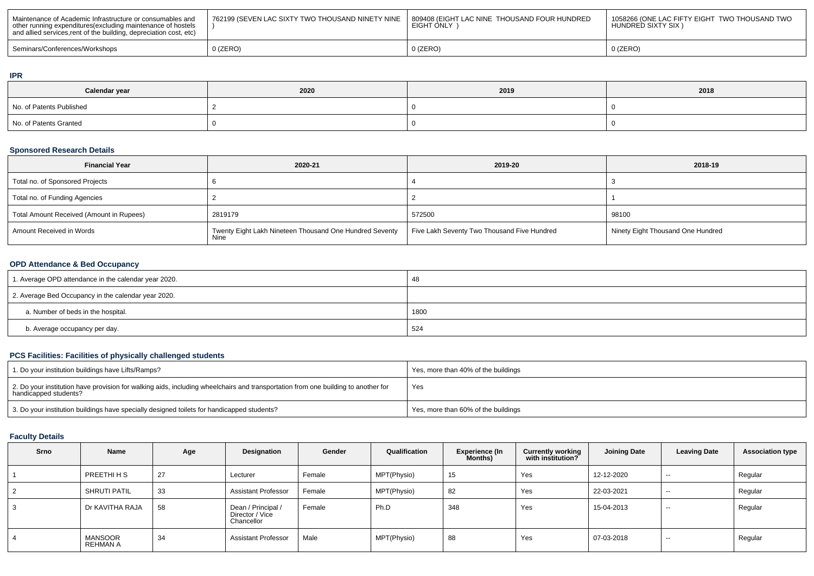| Maintenance of Academic Infrastructure or consumables and<br>other running expenditures (excluding maintenance of hostels<br>and allied services, rent of the building, depreciation cost, etc) | 762199 (SEVEN LAC SIXTY TWO THOUSAND NINETY NINE | 1809408 (EIGHT LAC NINE THOUSAND FOUR HUNDRED<br>EIGHT ONLY | 1058266 (ONE LAC FIFTY EIGHT TWO THOUSAND TWO<br>HUNDRED SIXTY SIX) |
|-------------------------------------------------------------------------------------------------------------------------------------------------------------------------------------------------|--------------------------------------------------|-------------------------------------------------------------|---------------------------------------------------------------------|
| Seminars/Conferences/Workshops                                                                                                                                                                  | ) (ZERO)                                         | $0$ (ZERO)                                                  | 0 (ZERO)                                                            |

#### **IPR**

| Calendar year            | 2020 | 2019 | 2018 |
|--------------------------|------|------|------|
| No. of Patents Published |      |      |      |
| No. of Patents Granted   |      |      |      |

# **Sponsored Research Details**

| <b>Financial Year</b>                    | 2020-21                                                         | 2019-20                                     | 2018-19                           |
|------------------------------------------|-----------------------------------------------------------------|---------------------------------------------|-----------------------------------|
| Total no. of Sponsored Projects          |                                                                 |                                             |                                   |
| Total no. of Funding Agencies            |                                                                 |                                             |                                   |
| Total Amount Received (Amount in Rupees) | 2819179                                                         | 572500                                      | 98100                             |
| Amount Received in Words                 | Twenty Eight Lakh Nineteen Thousand One Hundred Seventy<br>Nine | Five Lakh Seventy Two Thousand Five Hundred | Ninety Eight Thousand One Hundred |

## **OPD Attendance & Bed Occupancy**

| 1. Average OPD attendance in the calendar year 2020. | 48   |
|------------------------------------------------------|------|
| 2. Average Bed Occupancy in the calendar year 2020.  |      |
| a. Number of beds in the hospital.                   | 1800 |
| b. Average occupancy per day.                        | 524  |

## **PCS Facilities: Facilities of physically challenged students**

| 1. Do your institution buildings have Lifts/Ramps?                                                                                                         | Yes, more than 40% of the buildings |
|------------------------------------------------------------------------------------------------------------------------------------------------------------|-------------------------------------|
| 2. Do your institution have provision for walking aids, including wheelchairs and transportation from one building to another for<br>handicapped students? | Yes                                 |
| 3. Do your institution buildings have specially designed toilets for handicapped students?                                                                 | Yes, more than 60% of the buildings |

# **Faculty Details**

| Srno | Name                       | Age | Designation                                         | Gender | Qualification | Experience (In<br>Months) | <b>Currently working</b><br>with institution? | <b>Joining Date</b> | <b>Leaving Date</b> | <b>Association type</b> |
|------|----------------------------|-----|-----------------------------------------------------|--------|---------------|---------------------------|-----------------------------------------------|---------------------|---------------------|-------------------------|
|      | PREETHI H S                | 27  | Lecturer                                            | Female | MPT(Physio)   | 15                        | Yes                                           | 12-12-2020          | $- -$               | Regular                 |
| 2    | <b>SHRUTI PATIL</b>        | 33  | <b>Assistant Professor</b>                          | Female | MPT(Physio)   | 82                        | Yes                                           | 22-03-2021          | $\sim$              | Regular                 |
| 3    | Dr KAVITHA RAJA            | 58  | Dean / Principal /<br>Director / Vice<br>Chancellor | Female | Ph.D          | 348                       | Yes                                           | 15-04-2013          | $- -$               | Regular                 |
| 4    | MANSOOR<br><b>REHMAN A</b> | 34  | <b>Assistant Professor</b>                          | Male   | MPT(Physio)   | 88                        | Yes                                           | 07-03-2018          | $- -$               | Regular                 |